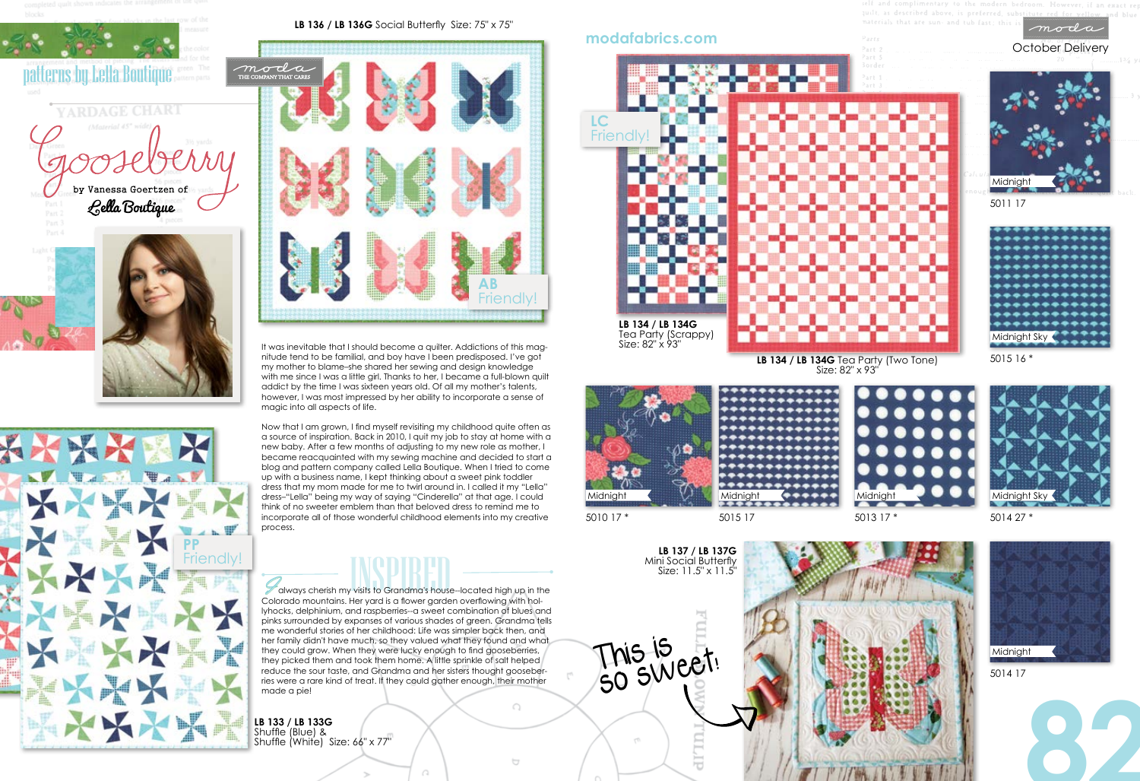

October Delivery

It was inevitable that I should become a quilter. Addictions of this magnitude tend to be familial, and boy have I been predisposed. I've got my mother to blame–she shared her sewing and design knowledge with me since I was a little girl. Thanks to her, I became a full-blown quilt addict by the time I was sixteen years old. Of all my mother's talents, however, I was most impressed by her ability to incorporate a sense of magic into all aspects of life.

### **LB 137 / LB 137G**  Mini Social Butterfly Size: 11.5" x 11.5"

Now that I am grown, I find myself revisiting my childhood quite often as a source of inspiration. Back in 2010, I quit my job to stay at home with a new baby. After a few months of adjusting to my new role as mother, I became reacquainted with my sewing machine and decided to start a blog and pattern company called Lella Boutique. When I tried to come up with a business name, I kept thinking about a sweet pink toddler dress that my mom made for me to twirl around in. I called it my "Lella" dress–"Lella" being my way of saying "Cinderella" at that age. I could think of no sweeter emblem than that beloved dress to remind me to incorporate all of those wonderful childhood elements into my creative process.

Friendly!<br>
I always cherish my visits to Grandma's house-located high up in the<br>
Colorade mountains Us ward is a four explan overflowing with hol Colorado mountains. Her yard is a flower garden overflowing with hollyhocks, delphinium, and raspberries--a sweet combination of blues and pinks surrounded by expanses of various shades of green. Grandma tells me wonderful stories of her childhood: Life was simpler back then, and her family didn't have much, so they valued what they found and what they could grow. When they were lucky enough to find gooseberries, they picked them and took them home. A little sprinkle of salt helped reduce the sour taste, and Grandma and her sisters thought gooseber-

## **LB 136 / LB 136G** Social Butterfly Size: 75" x 75"







5015 16 \*

5010 17 \*

5011 17









5015 17



**LB 133 / LB 133G**  Shuffle (Blue) & Shuffle (White) Size: 66" x 77" moda

## **modafabrics.com**







Size: 82" x 93"



ries were a rare kind of treat. If they could gather enough, their mother

 $\bigcap$ 







This is

so sweet!